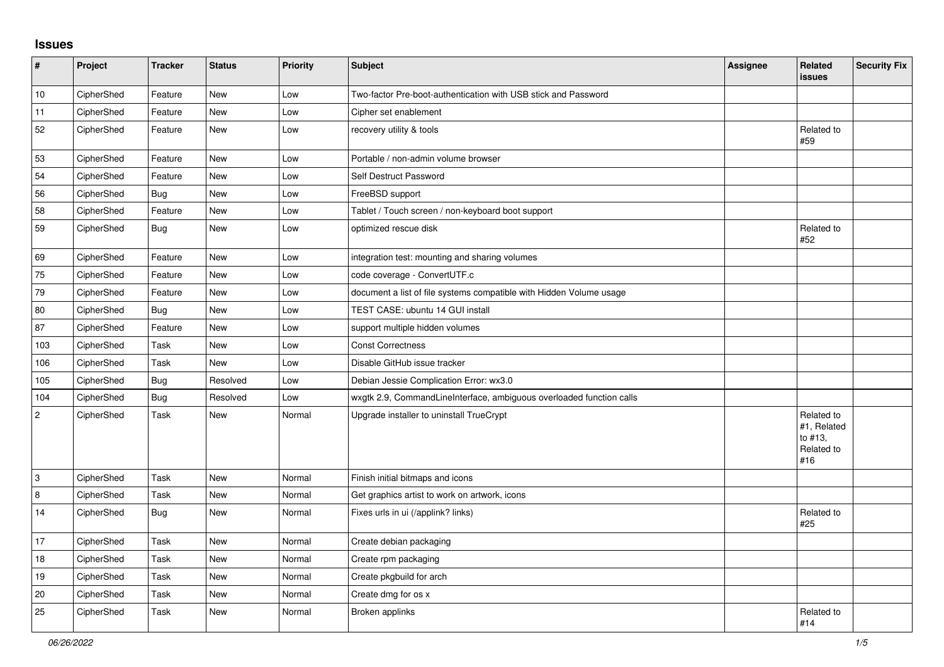## **Issues**

| $\sharp$    | Project    | <b>Tracker</b> | <b>Status</b> | Priority | Subject                                                              | <b>Assignee</b> | Related<br><b>issues</b>                                  | <b>Security Fix</b> |
|-------------|------------|----------------|---------------|----------|----------------------------------------------------------------------|-----------------|-----------------------------------------------------------|---------------------|
| 10          | CipherShed | Feature        | <b>New</b>    | Low      | Two-factor Pre-boot-authentication with USB stick and Password       |                 |                                                           |                     |
| 11          | CipherShed | Feature        | New           | Low      | Cipher set enablement                                                |                 |                                                           |                     |
| 52          | CipherShed | Feature        | <b>New</b>    | Low      | recovery utility & tools                                             |                 | Related to<br>#59                                         |                     |
| 53          | CipherShed | Feature        | <b>New</b>    | Low      | Portable / non-admin volume browser                                  |                 |                                                           |                     |
| 54          | CipherShed | Feature        | <b>New</b>    | Low      | Self Destruct Password                                               |                 |                                                           |                     |
| 56          | CipherShed | <b>Bug</b>     | <b>New</b>    | Low      | FreeBSD support                                                      |                 |                                                           |                     |
| 58          | CipherShed | Feature        | New           | Low      | Tablet / Touch screen / non-keyboard boot support                    |                 |                                                           |                     |
| 59          | CipherShed | Bug            | New           | Low      | optimized rescue disk                                                |                 | Related to<br>#52                                         |                     |
| 69          | CipherShed | Feature        | <b>New</b>    | Low      | integration test: mounting and sharing volumes                       |                 |                                                           |                     |
| 75          | CipherShed | Feature        | <b>New</b>    | Low      | code coverage - ConvertUTF.c                                         |                 |                                                           |                     |
| 79          | CipherShed | Feature        | New           | Low      | document a list of file systems compatible with Hidden Volume usage  |                 |                                                           |                     |
| 80          | CipherShed | <b>Bug</b>     | <b>New</b>    | Low      | TEST CASE: ubuntu 14 GUI install                                     |                 |                                                           |                     |
| 87          | CipherShed | Feature        | <b>New</b>    | Low      | support multiple hidden volumes                                      |                 |                                                           |                     |
| 103         | CipherShed | Task           | <b>New</b>    | Low      | <b>Const Correctness</b>                                             |                 |                                                           |                     |
| 106         | CipherShed | Task           | <b>New</b>    | Low      | Disable GitHub issue tracker                                         |                 |                                                           |                     |
| 105         | CipherShed | <b>Bug</b>     | Resolved      | Low      | Debian Jessie Complication Error: wx3.0                              |                 |                                                           |                     |
| 104         | CipherShed | <b>Bug</b>     | Resolved      | Low      | wxgtk 2.9, CommandLineInterface, ambiguous overloaded function calls |                 |                                                           |                     |
| $\mathbf 2$ | CipherShed | Task           | <b>New</b>    | Normal   | Upgrade installer to uninstall TrueCrypt                             |                 | Related to<br>#1, Related<br>to #13,<br>Related to<br>#16 |                     |
| 3           | CipherShed | Task           | <b>New</b>    | Normal   | Finish initial bitmaps and icons                                     |                 |                                                           |                     |
| $\,8\,$     | CipherShed | Task           | New           | Normal   | Get graphics artist to work on artwork, icons                        |                 |                                                           |                     |
| 14          | CipherShed | <b>Bug</b>     | New           | Normal   | Fixes urls in ui (/applink? links)                                   |                 | Related to<br>#25                                         |                     |
| 17          | CipherShed | Task           | <b>New</b>    | Normal   | Create debian packaging                                              |                 |                                                           |                     |
| 18          | CipherShed | Task           | New           | Normal   | Create rpm packaging                                                 |                 |                                                           |                     |
| 19          | CipherShed | Task           | <b>New</b>    | Normal   | Create pkgbuild for arch                                             |                 |                                                           |                     |
| $20\,$      | CipherShed | Task           | New           | Normal   | Create dmg for os x                                                  |                 |                                                           |                     |
| 25          | CipherShed | Task           | <b>New</b>    | Normal   | Broken applinks                                                      |                 | Related to<br>#14                                         |                     |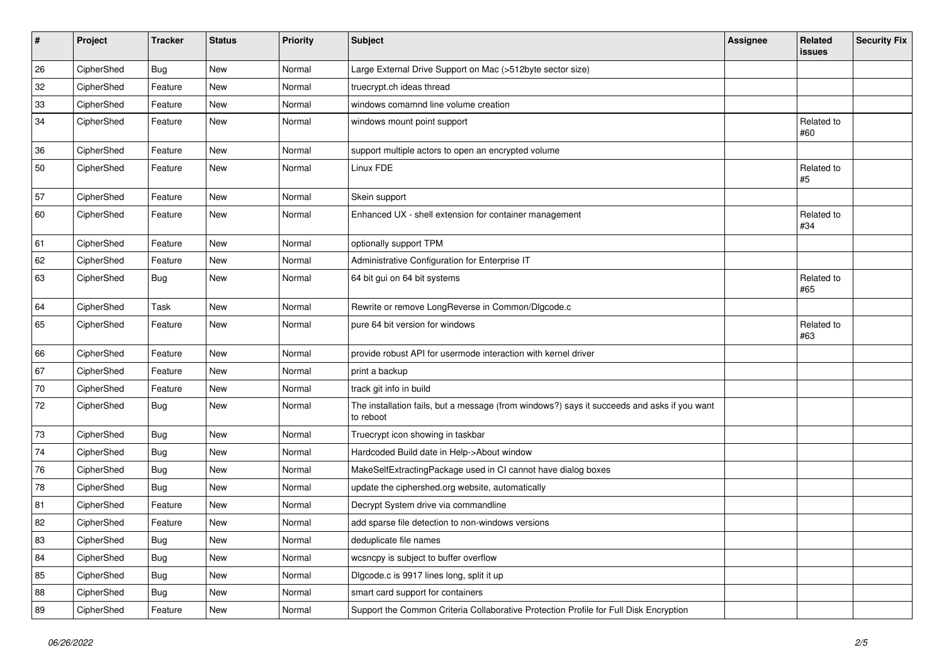| $\sharp$ | Project    | <b>Tracker</b> | <b>Status</b> | Priority | Subject                                                                                                  | <b>Assignee</b> | Related<br><b>issues</b> | <b>Security Fix</b> |
|----------|------------|----------------|---------------|----------|----------------------------------------------------------------------------------------------------------|-----------------|--------------------------|---------------------|
| 26       | CipherShed | Bug            | <b>New</b>    | Normal   | Large External Drive Support on Mac (>512byte sector size)                                               |                 |                          |                     |
| 32       | CipherShed | Feature        | <b>New</b>    | Normal   | truecrypt.ch ideas thread                                                                                |                 |                          |                     |
| 33       | CipherShed | Feature        | New           | Normal   | windows comamnd line volume creation                                                                     |                 |                          |                     |
| 34       | CipherShed | Feature        | <b>New</b>    | Normal   | windows mount point support                                                                              |                 | Related to<br>#60        |                     |
| 36       | CipherShed | Feature        | New           | Normal   | support multiple actors to open an encrypted volume                                                      |                 |                          |                     |
| 50       | CipherShed | Feature        | New           | Normal   | Linux FDE                                                                                                |                 | Related to<br>#5         |                     |
| 57       | CipherShed | Feature        | <b>New</b>    | Normal   | Skein support                                                                                            |                 |                          |                     |
| 60       | CipherShed | Feature        | New           | Normal   | Enhanced UX - shell extension for container management                                                   |                 | Related to<br>#34        |                     |
| 61       | CipherShed | Feature        | <b>New</b>    | Normal   | optionally support TPM                                                                                   |                 |                          |                     |
| 62       | CipherShed | Feature        | New           | Normal   | Administrative Configuration for Enterprise IT                                                           |                 |                          |                     |
| 63       | CipherShed | Bug            | New           | Normal   | 64 bit gui on 64 bit systems                                                                             |                 | Related to<br>#65        |                     |
| 64       | CipherShed | Task           | New           | Normal   | Rewrite or remove LongReverse in Common/Dlgcode.c                                                        |                 |                          |                     |
| 65       | CipherShed | Feature        | New           | Normal   | pure 64 bit version for windows                                                                          |                 | Related to<br>#63        |                     |
| 66       | CipherShed | Feature        | New           | Normal   | provide robust API for usermode interaction with kernel driver                                           |                 |                          |                     |
| 67       | CipherShed | Feature        | <b>New</b>    | Normal   | print a backup                                                                                           |                 |                          |                     |
| 70       | CipherShed | Feature        | New           | Normal   | track git info in build                                                                                  |                 |                          |                     |
| 72       | CipherShed | <b>Bug</b>     | New           | Normal   | The installation fails, but a message (from windows?) says it succeeds and asks if you want<br>to reboot |                 |                          |                     |
| 73       | CipherShed | Bug            | New           | Normal   | Truecrypt icon showing in taskbar                                                                        |                 |                          |                     |
| 74       | CipherShed | <b>Bug</b>     | New           | Normal   | Hardcoded Build date in Help->About window                                                               |                 |                          |                     |
| 76       | CipherShed | <b>Bug</b>     | New           | Normal   | MakeSelfExtractingPackage used in CI cannot have dialog boxes                                            |                 |                          |                     |
| 78       | CipherShed | <b>Bug</b>     | New           | Normal   | update the ciphershed.org website, automatically                                                         |                 |                          |                     |
| 81       | CipherShed | Feature        | New           | Normal   | Decrypt System drive via commandline                                                                     |                 |                          |                     |
| 82       | CipherShed | Feature        | New           | Normal   | add sparse file detection to non-windows versions                                                        |                 |                          |                     |
| 83       | CipherShed | <b>Bug</b>     | New           | Normal   | deduplicate file names                                                                                   |                 |                          |                     |
| 84       | CipherShed | Bug            | New           | Normal   | wcsncpy is subject to buffer overflow                                                                    |                 |                          |                     |
| 85       | CipherShed | <b>Bug</b>     | New           | Normal   | Digcode.c is 9917 lines long, split it up                                                                |                 |                          |                     |
| 88       | CipherShed | Bug            | New           | Normal   | smart card support for containers                                                                        |                 |                          |                     |
| 89       | CipherShed | Feature        | New           | Normal   | Support the Common Criteria Collaborative Protection Profile for Full Disk Encryption                    |                 |                          |                     |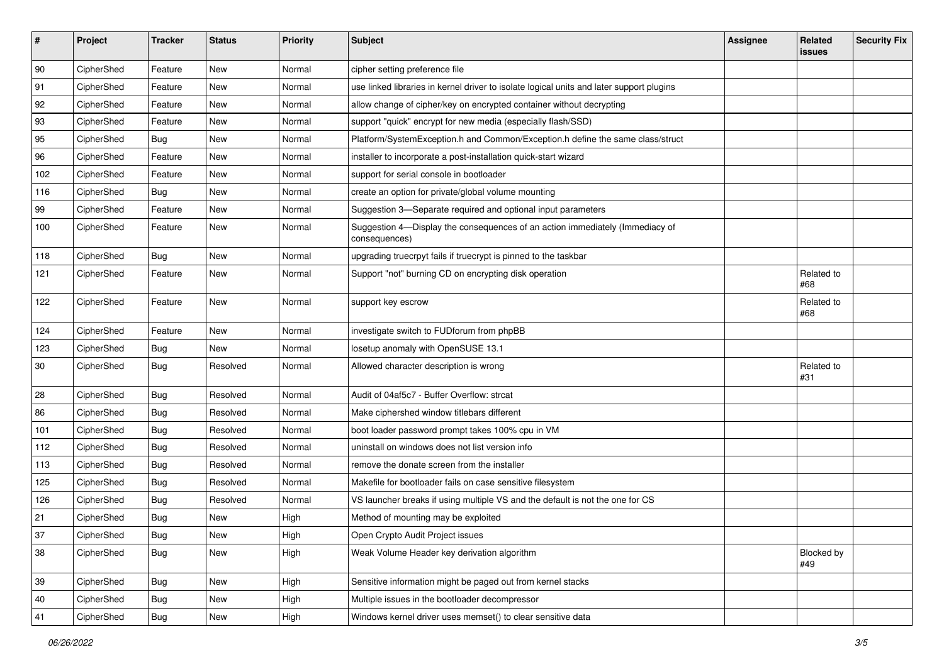| #      | Project    | <b>Tracker</b> | <b>Status</b> | Priority | <b>Subject</b>                                                                                | <b>Assignee</b> | Related<br>issues | <b>Security Fix</b> |
|--------|------------|----------------|---------------|----------|-----------------------------------------------------------------------------------------------|-----------------|-------------------|---------------------|
| 90     | CipherShed | Feature        | New           | Normal   | cipher setting preference file                                                                |                 |                   |                     |
| 91     | CipherShed | Feature        | New           | Normal   | use linked libraries in kernel driver to isolate logical units and later support plugins      |                 |                   |                     |
| 92     | CipherShed | Feature        | New           | Normal   | allow change of cipher/key on encrypted container without decrypting                          |                 |                   |                     |
| 93     | CipherShed | Feature        | New           | Normal   | support "quick" encrypt for new media (especially flash/SSD)                                  |                 |                   |                     |
| 95     | CipherShed | <b>Bug</b>     | New           | Normal   | Platform/SystemException.h and Common/Exception.h define the same class/struct                |                 |                   |                     |
| 96     | CipherShed | Feature        | New           | Normal   | installer to incorporate a post-installation quick-start wizard                               |                 |                   |                     |
| 102    | CipherShed | Feature        | New           | Normal   | support for serial console in bootloader                                                      |                 |                   |                     |
| 116    | CipherShed | Bug            | New           | Normal   | create an option for private/global volume mounting                                           |                 |                   |                     |
| 99     | CipherShed | Feature        | New           | Normal   | Suggestion 3-Separate required and optional input parameters                                  |                 |                   |                     |
| 100    | CipherShed | Feature        | New           | Normal   | Suggestion 4-Display the consequences of an action immediately (Immediacy of<br>consequences) |                 |                   |                     |
| 118    | CipherShed | <b>Bug</b>     | New           | Normal   | upgrading truecrpyt fails if truecrypt is pinned to the taskbar                               |                 |                   |                     |
| 121    | CipherShed | Feature        | New           | Normal   | Support "not" burning CD on encrypting disk operation                                         |                 | Related to<br>#68 |                     |
| 122    | CipherShed | Feature        | New           | Normal   | support key escrow                                                                            |                 | Related to<br>#68 |                     |
| 124    | CipherShed | Feature        | New           | Normal   | investigate switch to FUDforum from phpBB                                                     |                 |                   |                     |
| 123    | CipherShed | <b>Bug</b>     | New           | Normal   | losetup anomaly with OpenSUSE 13.1                                                            |                 |                   |                     |
| 30     | CipherShed | <b>Bug</b>     | Resolved      | Normal   | Allowed character description is wrong                                                        |                 | Related to<br>#31 |                     |
| 28     | CipherShed | <b>Bug</b>     | Resolved      | Normal   | Audit of 04af5c7 - Buffer Overflow: strcat                                                    |                 |                   |                     |
| 86     | CipherShed | <b>Bug</b>     | Resolved      | Normal   | Make ciphershed window titlebars different                                                    |                 |                   |                     |
| 101    | CipherShed | <b>Bug</b>     | Resolved      | Normal   | boot loader password prompt takes 100% cpu in VM                                              |                 |                   |                     |
| 112    | CipherShed | Bug            | Resolved      | Normal   | uninstall on windows does not list version info                                               |                 |                   |                     |
| 113    | CipherShed | <b>Bug</b>     | Resolved      | Normal   | remove the donate screen from the installer                                                   |                 |                   |                     |
| 125    | CipherShed | <b>Bug</b>     | Resolved      | Normal   | Makefile for bootloader fails on case sensitive filesystem                                    |                 |                   |                     |
| 126    | CipherShed | Bug            | Resolved      | Normal   | VS launcher breaks if using multiple VS and the default is not the one for CS                 |                 |                   |                     |
| 21     | CipherShed | Bug            | New           | High     | Method of mounting may be exploited                                                           |                 |                   |                     |
| $37\,$ | CipherShed | Bug            | New           | High     | Open Crypto Audit Project issues                                                              |                 |                   |                     |
| 38     | CipherShed | Bug            | New           | High     | Weak Volume Header key derivation algorithm                                                   |                 | Blocked by<br>#49 |                     |
| 39     | CipherShed | Bug            | New           | High     | Sensitive information might be paged out from kernel stacks                                   |                 |                   |                     |
| 40     | CipherShed | <b>Bug</b>     | New           | High     | Multiple issues in the bootloader decompressor                                                |                 |                   |                     |
| 41     | CipherShed | <b>Bug</b>     | New           | High     | Windows kernel driver uses memset() to clear sensitive data                                   |                 |                   |                     |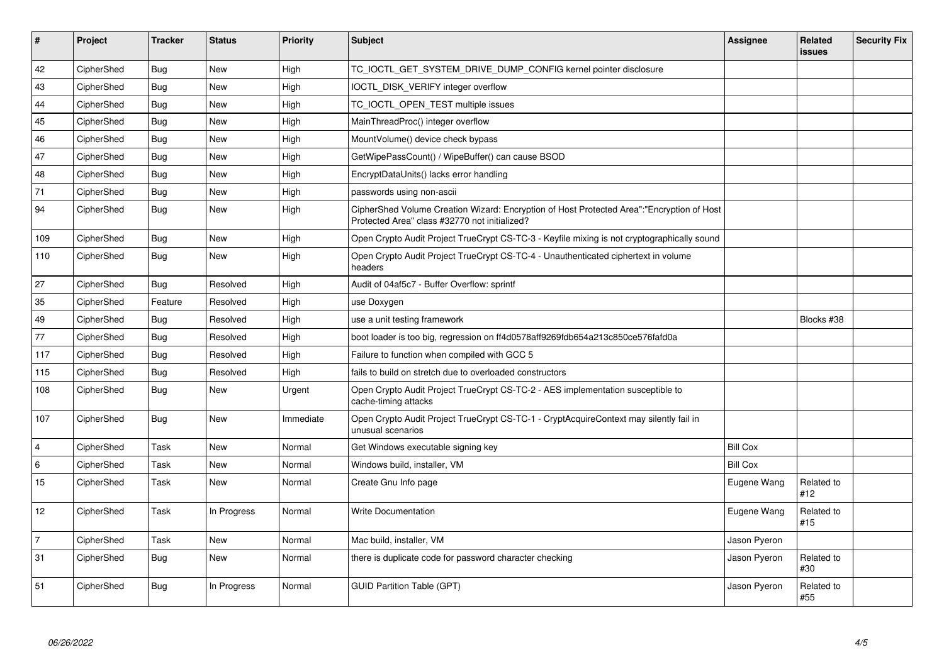| $\vert$ #               | Project    | <b>Tracker</b> | <b>Status</b> | <b>Priority</b> | <b>Subject</b>                                                                                                                             | <b>Assignee</b> | Related<br>issues | <b>Security Fix</b> |
|-------------------------|------------|----------------|---------------|-----------------|--------------------------------------------------------------------------------------------------------------------------------------------|-----------------|-------------------|---------------------|
| 42                      | CipherShed | <b>Bug</b>     | New           | High            | TC_IOCTL_GET_SYSTEM_DRIVE_DUMP_CONFIG kernel pointer disclosure                                                                            |                 |                   |                     |
| 43                      | CipherShed | Bug            | <b>New</b>    | High            | IOCTL DISK VERIFY integer overflow                                                                                                         |                 |                   |                     |
| 44                      | CipherShed | Bug            | <b>New</b>    | High            | TC IOCTL OPEN TEST multiple issues                                                                                                         |                 |                   |                     |
| 45                      | CipherShed | <b>Bug</b>     | <b>New</b>    | High            | MainThreadProc() integer overflow                                                                                                          |                 |                   |                     |
| 46                      | CipherShed | Bug            | <b>New</b>    | High            | MountVolume() device check bypass                                                                                                          |                 |                   |                     |
| 47                      | CipherShed | <b>Bug</b>     | <b>New</b>    | High            | GetWipePassCount() / WipeBuffer() can cause BSOD                                                                                           |                 |                   |                     |
| 48                      | CipherShed | Bug            | <b>New</b>    | High            | EncryptDataUnits() lacks error handling                                                                                                    |                 |                   |                     |
| 71                      | CipherShed | Bug            | <b>New</b>    | High            | passwords using non-ascii                                                                                                                  |                 |                   |                     |
| 94                      | CipherShed | <b>Bug</b>     | New           | High            | CipherShed Volume Creation Wizard: Encryption of Host Protected Area":"Encryption of Host<br>Protected Area" class #32770 not initialized? |                 |                   |                     |
| 109                     | CipherShed | Bug            | <b>New</b>    | High            | Open Crypto Audit Project TrueCrypt CS-TC-3 - Keyfile mixing is not cryptographically sound                                                |                 |                   |                     |
| 110                     | CipherShed | <b>Bug</b>     | <b>New</b>    | High            | Open Crypto Audit Project TrueCrypt CS-TC-4 - Unauthenticated ciphertext in volume<br>headers                                              |                 |                   |                     |
| 27                      | CipherShed | Bug            | Resolved      | High            | Audit of 04af5c7 - Buffer Overflow: sprintf                                                                                                |                 |                   |                     |
| 35                      | CipherShed | Feature        | Resolved      | High            | use Doxygen                                                                                                                                |                 |                   |                     |
| 49                      | CipherShed | Bug            | Resolved      | High            | use a unit testing framework                                                                                                               |                 | Blocks #38        |                     |
| 77                      | CipherShed | <b>Bug</b>     | Resolved      | High            | boot loader is too big, regression on ff4d0578aff9269fdb654a213c850ce576fafd0a                                                             |                 |                   |                     |
| 117                     | CipherShed | Bug            | Resolved      | High            | Failure to function when compiled with GCC 5                                                                                               |                 |                   |                     |
| 115                     | CipherShed | Bug            | Resolved      | High            | fails to build on stretch due to overloaded constructors                                                                                   |                 |                   |                     |
| 108                     | CipherShed | Bug            | New           | Urgent          | Open Crypto Audit Project TrueCrypt CS-TC-2 - AES implementation susceptible to<br>cache-timing attacks                                    |                 |                   |                     |
| 107                     | CipherShed | Bug            | <b>New</b>    | Immediate       | Open Crypto Audit Project TrueCrypt CS-TC-1 - CryptAcquireContext may silently fail in<br>unusual scenarios                                |                 |                   |                     |
| $\overline{\mathbf{4}}$ | CipherShed | Task           | <b>New</b>    | Normal          | Get Windows executable signing key                                                                                                         | <b>Bill Cox</b> |                   |                     |
| $\,6$                   | CipherShed | Task           | <b>New</b>    | Normal          | Windows build, installer, VM                                                                                                               | <b>Bill Cox</b> |                   |                     |
| 15                      | CipherShed | Task           | New           | Normal          | Create Gnu Info page                                                                                                                       | Eugene Wang     | Related to<br>#12 |                     |
| 12                      | CipherShed | Task           | In Progress   | Normal          | <b>Write Documentation</b>                                                                                                                 | Eugene Wang     | Related to<br>#15 |                     |
| $\overline{7}$          | CipherShed | Task           | <b>New</b>    | Normal          | Mac build, installer, VM                                                                                                                   | Jason Pyeron    |                   |                     |
| 31                      | CipherShed | <b>Bug</b>     | <b>New</b>    | Normal          | there is duplicate code for password character checking                                                                                    | Jason Pyeron    | Related to<br>#30 |                     |
| 51                      | CipherShed | Bug            | In Progress   | Normal          | <b>GUID Partition Table (GPT)</b>                                                                                                          | Jason Pyeron    | Related to<br>#55 |                     |